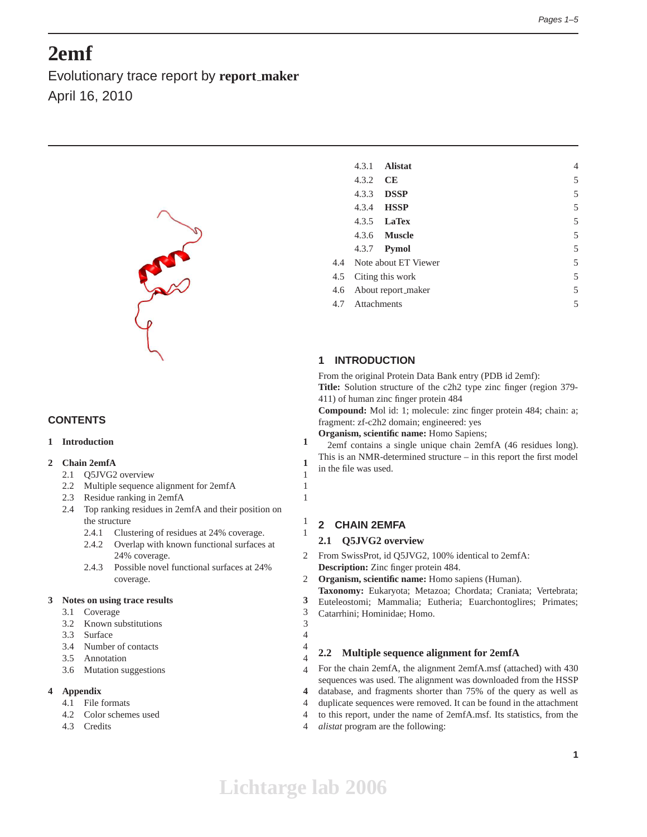# **2emf**

Evolutionary trace report by **report maker** April 16, 2010



# **CONTENTS**

# **1 Introduction 1**

#### **2 Chain 2emfA 1**

- 2.1 Q5JVG2 overview 1
- 2.2 Multiple sequence alignment for 2emfA 1
- 2.3 Residue ranking in 2emfA 1
- 2.4 Top ranking residues in 2emfA and their position on the structure 1
	- 2.4.1 Clustering of residues at 24% coverage. 1
	- 2.4.2 Overlap with known functional surfaces at 24% coverage. 2
	- 2.4.3 Possible novel functional surfaces at 24% coverage. 2

#### **3 Notes on using trace results 3**

- 3.1 Coverage 3
- 3.2 Known substitutions 3
- 3.3 Surface 4
- 3.4 Number of contacts 4
- 3.5 Annotation 4
- 3.6 Mutation suggestions 4

#### **4 Appendix 4**

- 4.1 File formats 4
- 4.2 Color schemes used 4
- 4.3 Credits 4

|     | 4.3.1            | <b>Alistat</b>           |  | 4 |
|-----|------------------|--------------------------|--|---|
|     | 4.3.2            | CE                       |  | 5 |
|     | 4.3.3            | <b>DSSP</b>              |  | 5 |
|     | 4.3.4            | <b>HSSP</b>              |  | 5 |
|     | 4.3.5            | <b>LaTex</b>             |  | 5 |
|     |                  | 4.3.6 <b>Muscle</b>      |  | 5 |
|     | 4.3.7            | Pymol                    |  | 5 |
|     |                  | 4.4 Note about ET Viewer |  | 5 |
| 4.5 | Citing this work |                          |  | 5 |
| 4.6 |                  | About report_maker       |  | 5 |
| 4.7 | Attachments      |                          |  | 5 |
|     |                  |                          |  |   |

# **1 INTRODUCTION**

From the original Protein Data Bank entry (PDB id 2emf):

**Title:** Solution structure of the c2h2 type zinc finger (region 379- 411) of human zinc finger protein 484

**Compound:** Mol id: 1; molecule: zinc finger protein 484; chain: a; fragment: zf-c2h2 domain; engineered: yes

**Organism, scientific name:** Homo Sapiens;

2emf contains a single unique chain 2emfA (46 residues long). This is an NMR-determined structure – in this report the first model in the file was used.

## **2 CHAIN 2EMFA**

## **2.1 Q5JVG2 overview**

- From SwissProt, id Q5JVG2, 100% identical to 2emfA: **Description:** Zinc finger protein 484.
- **Organism, scientific name:** Homo sapiens (Human).
- **Taxonomy:** Eukaryota; Metazoa; Chordata; Craniata; Vertebrata;
- Euteleostomi; Mammalia; Eutheria; Euarchontoglires; Primates; Catarrhini; Hominidae; Homo.

#### **2.2 Multiple sequence alignment for 2emfA**

For the chain 2emfA, the alignment 2emfA.msf (attached) with 430 sequences was used. The alignment was downloaded from the HSSP database, and fragments shorter than 75% of the query as well as duplicate sequences were removed. It can be found in the attachment to this report, under the name of 2emfA.msf. Its statistics, from the

*alistat* program are the following: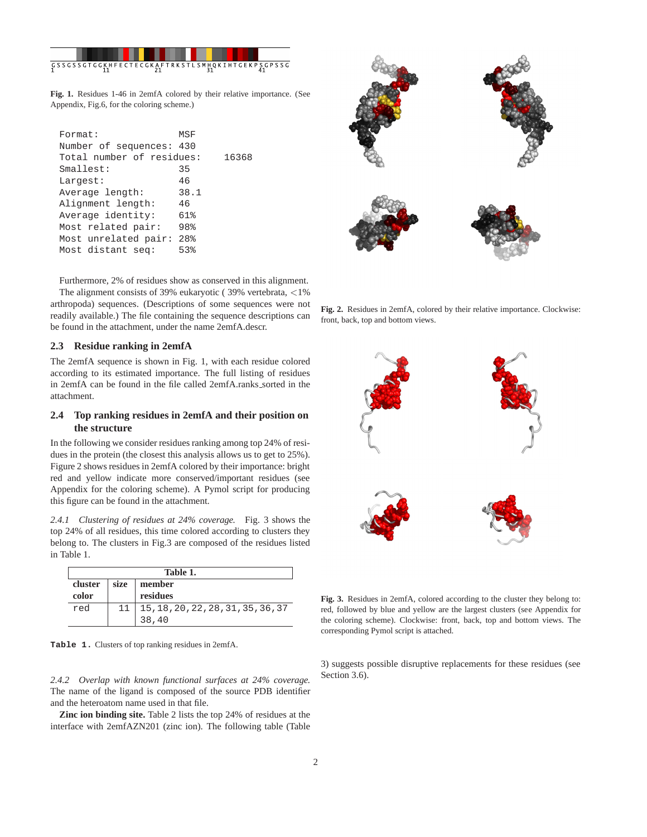

**Fig. 1.** Residues 1-46 in 2emfA colored by their relative importance. (See Appendix, Fig.6, for the coloring scheme.)

| Format:                   | MSF             |       |
|---------------------------|-----------------|-------|
|                           |                 |       |
| Number of sequences: 430  |                 |       |
| Total number of residues: |                 | 16368 |
| Smallest:                 | 35              |       |
| Largest:                  | 46              |       |
| Average length:           | 38.1            |       |
| Alignment length:         | 46              |       |
| Average identity:         | 61%             |       |
| Most related pair:        | 98%             |       |
| Most unrelated pair:      | 28 <sup>8</sup> |       |
| Most distant seq:         | 53%             |       |
|                           |                 |       |

Furthermore, 2% of residues show as conserved in this alignment. The alignment consists of 39% eukaryotic ( 39% vertebrata, <1% arthropoda) sequences. (Descriptions of some sequences were not readily available.) The file containing the sequence descriptions can be found in the attachment, under the name 2emfA.descr.

# **2.3 Residue ranking in 2emfA**

The 2emfA sequence is shown in Fig. 1, with each residue colored according to its estimated importance. The full listing of residues in 2emfA can be found in the file called 2emfA.ranks\_sorted in the attachment.

# **2.4 Top ranking residues in 2emfA and their position on the structure**

In the following we consider residues ranking among top 24% of residues in the protein (the closest this analysis allows us to get to 25%). Figure 2 shows residues in 2emfA colored by their importance: bright red and yellow indicate more conserved/important residues (see Appendix for the coloring scheme). A Pymol script for producing this figure can be found in the attachment.

*2.4.1 Clustering of residues at 24% coverage.* Fig. 3 shows the top 24% of all residues, this time colored according to clusters they belong to. The clusters in Fig.3 are composed of the residues listed in Table 1.

| Table 1. |      |                                    |  |
|----------|------|------------------------------------|--|
| cluster  | size | member                             |  |
| color    |      | residues                           |  |
| red      |      | 15, 18, 20, 22, 28, 31, 35, 36, 37 |  |
|          |      | 38,40                              |  |

**Table 1.** Clusters of top ranking residues in 2emfA.

*2.4.2 Overlap with known functional surfaces at 24% coverage.* The name of the ligand is composed of the source PDB identifier and the heteroatom name used in that file.

**Zinc ion binding site.** Table 2 lists the top 24% of residues at the interface with 2emfAZN201 (zinc ion). The following table (Table



**Fig. 2.** Residues in 2emfA, colored by their relative importance. Clockwise: front, back, top and bottom views.



**Fig. 3.** Residues in 2emfA, colored according to the cluster they belong to: red, followed by blue and yellow are the largest clusters (see Appendix for the coloring scheme). Clockwise: front, back, top and bottom views. The corresponding Pymol script is attached.

3) suggests possible disruptive replacements for these residues (see Section 3.6).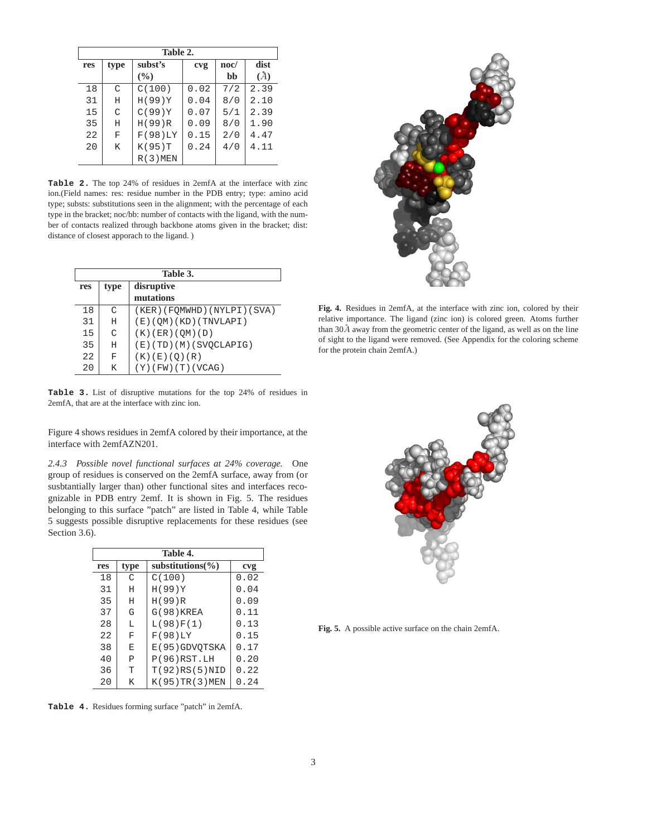| Table 2. |      |            |      |      |      |
|----------|------|------------|------|------|------|
| res      | type | subst's    | cvg  | noc/ | dist |
|          |      | (%)        |      | bb   | (A)  |
| 18       | C    | C(100)     | 0.02 | 7/2  | 2.39 |
| 31       | Η    | H(99)Y     | 0.04 | 8/0  | 2.10 |
| 15       | C    | C(99)Y     | 0.07 | 5/1  | 2.39 |
| 35       | Η    | H(99)R     | 0.09 | 8/0  | 1.90 |
| 22       | F    | F(98)LY    | 0.15 | 2/0  | 4.47 |
| 20       | Κ    | K(95)T     | 0.24 | 4/0  | 4.11 |
|          |      | $R(3)$ MEN |      |      |      |

**Table 2.** The top 24% of residues in 2emfA at the interface with zinc ion.(Field names: res: residue number in the PDB entry; type: amino acid type; substs: substitutions seen in the alignment; with the percentage of each type in the bracket; noc/bb: number of contacts with the ligand, with the number of contacts realized through backbone atoms given in the bracket; dist: distance of closest apporach to the ligand. )

| Table 3. |      |                              |  |
|----------|------|------------------------------|--|
| res      | type | disruptive                   |  |
|          |      | mutations                    |  |
| 18       | C    | (KER) (FQMWHD) (NYLPI) (SVA) |  |
| 31       | H    | (E)(QM)(KD)(TNVLAPI)         |  |
| 15       | C    | $(K)$ (ER) (QM) (D)          |  |
| 35       | H    | (E)(TD)(M)(SVOCLAPIG)        |  |
| 22       | F    | (K) (E) (Q) (R)              |  |
| 20       | Κ    | $(Y)$ (FW) $(T)$ (VCAG)      |  |

**Table 3.** List of disruptive mutations for the top 24% of residues in 2emfA, that are at the interface with zinc ion.

Figure 4 shows residues in 2emfA colored by their importance, at the interface with 2emfAZN201.

*2.4.3 Possible novel functional surfaces at 24% coverage.* One group of residues is conserved on the 2emfA surface, away from (or susbtantially larger than) other functional sites and interfaces recognizable in PDB entry 2emf. It is shown in Fig. 5. The residues belonging to this surface "patch" are listed in Table 4, while Table 5 suggests possible disruptive replacements for these residues (see Section 3.6).

| Table 4. |              |                       |      |  |
|----------|--------------|-----------------------|------|--|
| res      | type         | substitutions( $\%$ ) | cvg  |  |
| 18       | C            | C(100)                | 0.02 |  |
| 31       | Η            | H(99)Y                | 0.04 |  |
| 35       | H            | H(99)R                | 0.09 |  |
| 37       | G            | $G(98)$ KREA          | 0.11 |  |
| 28       | L            | L(98)F(1)             | 0.13 |  |
| 22       | F            | F(98)LY               | 0.15 |  |
| 38       | E            | E(95)GDVOTSKA         | 0.17 |  |
| 40       | $\mathsf{P}$ | P(96) RST.LH          | 0.20 |  |
| 36       | T            | T(92)RS(5)NID         | 0.22 |  |
| 20       | K            | $K(95)$ TR $(3)$ MEN  | 0.24 |  |

**Table 4.** Residues forming surface "patch" in 2emfA.



**Fig. 4.** Residues in 2emfA, at the interface with zinc ion, colored by their relative importance. The ligand (zinc ion) is colored green. Atoms further than  $30\AA$  away from the geometric center of the ligand, as well as on the line of sight to the ligand were removed. (See Appendix for the coloring scheme for the protein chain 2emfA.)



**Fig. 5.** A possible active surface on the chain 2emfA.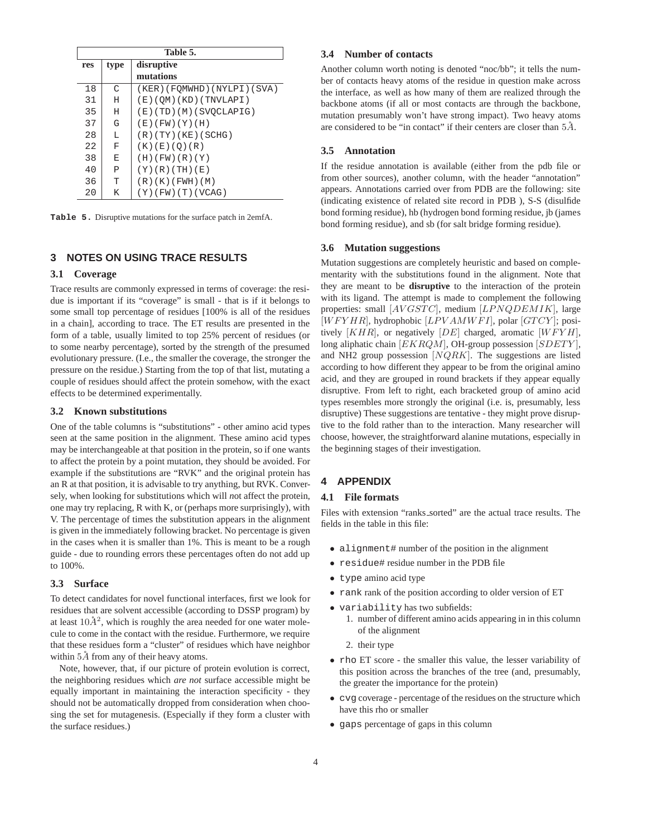| Table 5. |              |                           |  |
|----------|--------------|---------------------------|--|
| res      | type         | disruptive                |  |
|          |              | mutations                 |  |
| 18       | C            | (KER)(FOMWHD)(NYLPI)(SVA) |  |
| 31       | H            | (E)(QM)(KD)(TNVLAPI)      |  |
| 35       | H            | (E)(TD)(M)(SVOCLAPIG)     |  |
| 37       | G            | (E)(FW)(Y)(H)             |  |
| 28       | L            | (R)(TY)(KE)(SCHG)         |  |
| 22       | F            | (K)(E)(O)(R)              |  |
| 38       | E            | (H)(FW)(R)(Y)             |  |
| 40       | $\mathsf{P}$ | (Y)(R)(TH)(E)             |  |
| 36       | T            | (R)(K)(FWH)(M)            |  |
| 20       | K            | $(Y)$ (FW) (T) (VCAG)     |  |

**Table 5.** Disruptive mutations for the surface patch in 2emfA.

# **3 NOTES ON USING TRACE RESULTS**

## **3.1 Coverage**

Trace results are commonly expressed in terms of coverage: the residue is important if its "coverage" is small - that is if it belongs to some small top percentage of residues [100% is all of the residues in a chain], according to trace. The ET results are presented in the form of a table, usually limited to top 25% percent of residues (or to some nearby percentage), sorted by the strength of the presumed evolutionary pressure. (I.e., the smaller the coverage, the stronger the pressure on the residue.) Starting from the top of that list, mutating a couple of residues should affect the protein somehow, with the exact effects to be determined experimentally.

## **3.2 Known substitutions**

One of the table columns is "substitutions" - other amino acid types seen at the same position in the alignment. These amino acid types may be interchangeable at that position in the protein, so if one wants to affect the protein by a point mutation, they should be avoided. For example if the substitutions are "RVK" and the original protein has an R at that position, it is advisable to try anything, but RVK. Conversely, when looking for substitutions which will *n*ot affect the protein, one may try replacing, R with K, or (perhaps more surprisingly), with V. The percentage of times the substitution appears in the alignment is given in the immediately following bracket. No percentage is given in the cases when it is smaller than 1%. This is meant to be a rough guide - due to rounding errors these percentages often do not add up to 100%.

# **3.3 Surface**

To detect candidates for novel functional interfaces, first we look for residues that are solvent accessible (according to DSSP program) by at least  $10\AA^2$ , which is roughly the area needed for one water molecule to come in the contact with the residue. Furthermore, we require that these residues form a "cluster" of residues which have neighbor within  $5\AA$  from any of their heavy atoms.

Note, however, that, if our picture of protein evolution is correct, the neighboring residues which *are not* surface accessible might be equally important in maintaining the interaction specificity - they should not be automatically dropped from consideration when choosing the set for mutagenesis. (Especially if they form a cluster with the surface residues.)

#### **3.4 Number of contacts**

Another column worth noting is denoted "noc/bb"; it tells the number of contacts heavy atoms of the residue in question make across the interface, as well as how many of them are realized through the backbone atoms (if all or most contacts are through the backbone, mutation presumably won't have strong impact). Two heavy atoms are considered to be "in contact" if their centers are closer than  $5\AA$ .

# **3.5 Annotation**

If the residue annotation is available (either from the pdb file or from other sources), another column, with the header "annotation" appears. Annotations carried over from PDB are the following: site (indicating existence of related site record in PDB ), S-S (disulfide bond forming residue), hb (hydrogen bond forming residue, jb (james bond forming residue), and sb (for salt bridge forming residue).

#### **3.6 Mutation suggestions**

Mutation suggestions are completely heuristic and based on complementarity with the substitutions found in the alignment. Note that they are meant to be **disruptive** to the interaction of the protein with its ligand. The attempt is made to complement the following properties: small [AVGSTC], medium [LPNQDEMIK], large  $[WFYHR]$ , hydrophobic  $[LPVAMWFI]$ , polar  $[GTCY]$ ; positively  $[KHR]$ , or negatively  $[DE]$  charged, aromatic  $[WFYH]$ , long aliphatic chain  $[EKRQM]$ , OH-group possession  $[SDETY]$ , and NH2 group possession  $[NQRK]$ . The suggestions are listed according to how different they appear to be from the original amino acid, and they are grouped in round brackets if they appear equally disruptive. From left to right, each bracketed group of amino acid types resembles more strongly the original (i.e. is, presumably, less disruptive) These suggestions are tentative - they might prove disruptive to the fold rather than to the interaction. Many researcher will choose, however, the straightforward alanine mutations, especially in the beginning stages of their investigation.

# **4 APPENDIX**

## **4.1 File formats**

Files with extension "ranks\_sorted" are the actual trace results. The fields in the table in this file:

- alignment# number of the position in the alignment
- residue# residue number in the PDB file
- type amino acid type
- rank rank of the position according to older version of ET
- variability has two subfields:
	- 1. number of different amino acids appearing in in this column of the alignment
	- 2. their type
- rho ET score the smaller this value, the lesser variability of this position across the branches of the tree (and, presumably, the greater the importance for the protein)
- cvg coverage percentage of the residues on the structure which have this rho or smaller
- gaps percentage of gaps in this column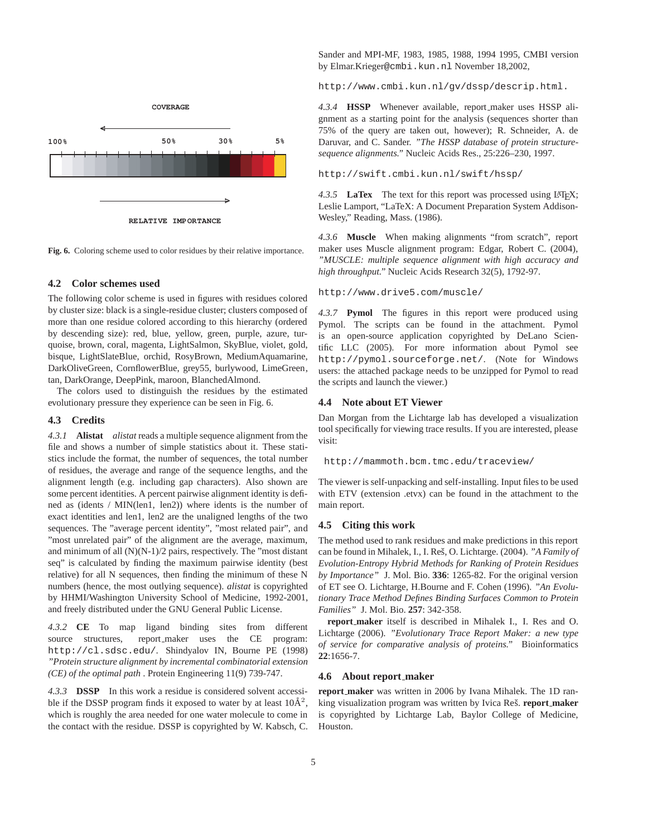

**Fig. 6.** Coloring scheme used to color residues by their relative importance.

#### **4.2 Color schemes used**

The following color scheme is used in figures with residues colored by cluster size: black is a single-residue cluster; clusters composed of more than one residue colored according to this hierarchy (ordered by descending size): red, blue, yellow, green, purple, azure, turquoise, brown, coral, magenta, LightSalmon, SkyBlue, violet, gold, bisque, LightSlateBlue, orchid, RosyBrown, MediumAquamarine, DarkOliveGreen, CornflowerBlue, grey55, burlywood, LimeGreen, tan, DarkOrange, DeepPink, maroon, BlanchedAlmond.

The colors used to distinguish the residues by the estimated evolutionary pressure they experience can be seen in Fig. 6.

#### **4.3 Credits**

*4.3.1* **Alistat** *alistat* reads a multiple sequence alignment from the file and shows a number of simple statistics about it. These statistics include the format, the number of sequences, the total number of residues, the average and range of the sequence lengths, and the alignment length (e.g. including gap characters). Also shown are some percent identities. A percent pairwise alignment identity is defined as (idents / MIN(len1, len2)) where idents is the number of exact identities and len1, len2 are the unaligned lengths of the two sequences. The "average percent identity", "most related pair", and "most unrelated pair" of the alignment are the average, maximum, and minimum of all (N)(N-1)/2 pairs, respectively. The "most distant seq" is calculated by finding the maximum pairwise identity (best relative) for all N sequences, then finding the minimum of these N numbers (hence, the most outlying sequence). *alistat* is copyrighted by HHMI/Washington University School of Medicine, 1992-2001, and freely distributed under the GNU General Public License.

*4.3.2* **CE** To map ligand binding sites from different source structures, report\_maker uses the CE program: http://cl.sdsc.edu/. Shindyalov IN, Bourne PE (1998) *"Protein structure alignment by incremental combinatorial extension (CE) of the optimal path* . Protein Engineering 11(9) 739-747.

*4.3.3* **DSSP** In this work a residue is considered solvent accessible if the DSSP program finds it exposed to water by at least  $10\text{\AA}^2$ , which is roughly the area needed for one water molecule to come in the contact with the residue. DSSP is copyrighted by W. Kabsch, C.

Sander and MPI-MF, 1983, 1985, 1988, 1994 1995, CMBI version by Elmar.Krieger@cmbi.kun.nl November 18,2002,

http://www.cmbi.kun.nl/gv/dssp/descrip.html.

*4.3.4* **HSSP** Whenever available, report maker uses HSSP alignment as a starting point for the analysis (sequences shorter than 75% of the query are taken out, however); R. Schneider, A. de Daruvar, and C. Sander. *"The HSSP database of protein structuresequence alignments."* Nucleic Acids Res., 25:226–230, 1997.

http://swift.cmbi.kun.nl/swift/hssp/

4.3.5 **LaTex** The text for this report was processed using LATEX; Leslie Lamport, "LaTeX: A Document Preparation System Addison-Wesley," Reading, Mass. (1986).

*4.3.6* **Muscle** When making alignments "from scratch", report maker uses Muscle alignment program: Edgar, Robert C. (2004), *"MUSCLE: multiple sequence alignment with high accuracy and high throughput."* Nucleic Acids Research 32(5), 1792-97.

http://www.drive5.com/muscle/

*4.3.7* **Pymol** The figures in this report were produced using Pymol. The scripts can be found in the attachment. Pymol is an open-source application copyrighted by DeLano Scientific LLC (2005). For more information about Pymol see http://pymol.sourceforge.net/. (Note for Windows users: the attached package needs to be unzipped for Pymol to read the scripts and launch the viewer.)

#### **4.4 Note about ET Viewer**

Dan Morgan from the Lichtarge lab has developed a visualization tool specifically for viewing trace results. If you are interested, please visit:

http://mammoth.bcm.tmc.edu/traceview/

The viewer is self-unpacking and self-installing. Input files to be used with ETV (extension .etvx) can be found in the attachment to the main report.

#### **4.5 Citing this work**

The method used to rank residues and make predictions in this report can be found in Mihalek, I., I. Res, O. Lichtarge. (2004). ˇ *"A Family of Evolution-Entropy Hybrid Methods for Ranking of Protein Residues by Importance"* J. Mol. Bio. **336**: 1265-82. For the original version of ET see O. Lichtarge, H.Bourne and F. Cohen (1996). *"An Evolutionary Trace Method Defines Binding Surfaces Common to Protein Families"* J. Mol. Bio. **257**: 342-358.

**report maker** itself is described in Mihalek I., I. Res and O. Lichtarge (2006). *"Evolutionary Trace Report Maker: a new type of service for comparative analysis of proteins."* Bioinformatics **22**:1656-7.

#### **4.6 About report maker**

**report maker** was written in 2006 by Ivana Mihalek. The 1D ranking visualization program was written by Ivica Reš. **report\_maker** is copyrighted by Lichtarge Lab, Baylor College of Medicine, Houston.